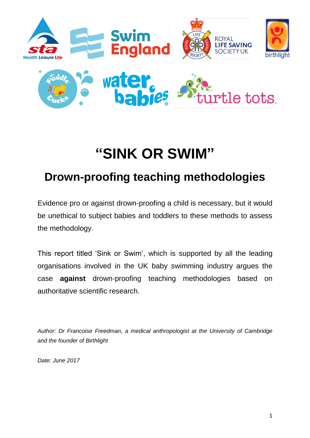

# **"SINK OR SWIM"**

# **Drown-proofing teaching methodologies**

Evidence pro or against drown-proofing a child is necessary, but it would be unethical to subject babies and toddlers to these methods to assess the methodology.

This report titled 'Sink or Swim', which is supported by all the leading organisations involved in the UK baby swimming industry argues the case **against** drown-proofing teaching methodologies based on authoritative scientific research.

*Author: Dr Francoise Freedman, a medical anthropologist at the University of Cambridge and the founder of Birthlight*

*Date: June 2017*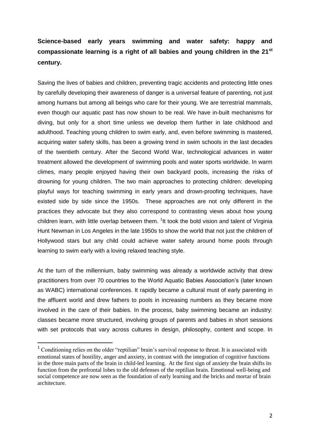## **Science-based early years swimming and water safety: happy and compassionate learning is a right of all babies and young children in the 21st century.**

Saving the lives of babies and children, preventing tragic accidents and protecting little ones by carefully developing their awareness of danger is a universal feature of parenting, not just among humans but among all beings who care for their young. We are terrestrial mammals, even though our aquatic past has now shown to be real. We have in-built mechanisms for diving, but only for a short time unless we develop them further in late childhood and adulthood. Teaching young children to swim early, and, even before swimming is mastered, acquiring water safety skills, has been a growing trend in swim schools in the last decades of the twentieth century. After the Second World War, technological advances in water treatment allowed the development of swimming pools and water sports worldwide. In warm climes, many people enjoyed having their own backyard pools, increasing the risks of drowning for young children. The two main approaches to protecting children: developing playful ways for teaching swimming in early years and drown-proofing techniques, have existed side by side since the 1950s. These approaches are not only different in the practices they advocate but they also correspond to contrasting views about how young children learn, with little overlap between them. <sup>1</sup>It took the bold vision and talent of Virginia Hunt Newman in Los Angeles in the late 1950s to show the world that not just the children of Hollywood stars but any child could achieve water safety around home pools through learning to swim early with a loving relaxed teaching style.

At the turn of the millennium, baby swimming was already a worldwide activity that drew practitioners from over 70 countries to the World Aquatic Babies Association's (later known as WABC) international conferences. It rapidly became a cultural must of early parenting in the affluent world and drew fathers to pools in increasing numbers as they became more involved in the care of their babies. In the process, baby swimming became an industry: classes became more structured, involving groups of parents and babies in short sessions with set protocols that vary across cultures in design, philosophy, content and scope. In

<sup>&</sup>lt;sup>1</sup> Conditioning relies on the older "reptilian" brain's survival response to threat. It is associated with emotional states of hostility, anger and anxiety, in contrast with the integration of cognitive functions in the three main parts of the brain in child-led learning. At the first sign of anxiety the brain shifts its function from the prefrontal lobes to the old defenses of the reptilian brain. Emotional well-being and social competence are now seen as the foundation of early learning and the bricks and mortar of brain architecture.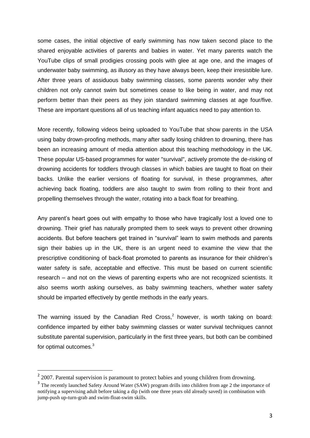some cases, the initial objective of early swimming has now taken second place to the shared enjoyable activities of parents and babies in water. Yet many parents watch the YouTube clips of small prodigies crossing pools with glee at age one, and the images of underwater baby swimming, as illusory as they have always been, keep their irresistible lure. After three years of assiduous baby swimming classes, some parents wonder why their children not only cannot swim but sometimes cease to like being in water, and may not perform better than their peers as they join standard swimming classes at age four/five. These are important questions all of us teaching infant aquatics need to pay attention to.

More recently, following videos being uploaded to YouTube that show parents in the USA using baby drown-proofing methods, many after sadly losing children to drowning, there has been an increasing amount of media attention about this teaching methodology in the UK. These popular US-based programmes for water "survival", actively promote the de-risking of drowning accidents for toddlers through classes in which babies are taught to float on their backs. Unlike the earlier versions of floating for survival, in these programmes, after achieving back floating, toddlers are also taught to swim from rolling to their front and propelling themselves through the water, rotating into a back float for breathing.

Any parent's heart goes out with empathy to those who have tragically lost a loved one to drowning. Their grief has naturally prompted them to seek ways to prevent other drowning accidents. But before teachers get trained in "survival" learn to swim methods and parents sign their babies up in the UK, there is an urgent need to examine the view that the prescriptive conditioning of back-float promoted to parents as insurance for their children's water safety is safe, acceptable and effective. This must be based on current scientific research – and not on the views of parenting experts who are not recognized scientists. It also seems worth asking ourselves, as baby swimming teachers, whether water safety should be imparted effectively by gentle methods in the early years.

The warning issued by the Canadian Red Cross, $<sup>2</sup>$  however, is worth taking on board:</sup> confidence imparted by either baby swimming classes or water survival techniques cannot substitute parental supervision, particularly in the first three years, but both can be combined for optimal outcomes.<sup>3</sup>

 $2$  2007. Parental supervision is paramount to protect babies and young children from drowning.

<sup>&</sup>lt;sup>3</sup> The recently launched Safety Around Water (SAW) program drills into children from age 2 the importance of notifying a supervising adult before taking a dip (with one three years old already saved) in combination with jump-push up-turn-grab and swim-float-swim skills.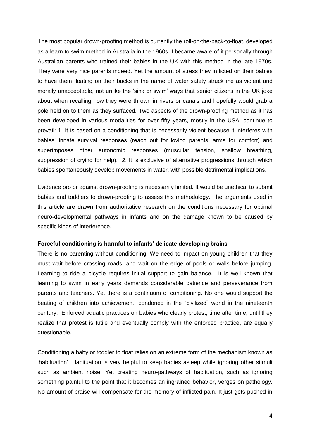The most popular drown-proofing method is currently the roll-on-the-back-to-float, developed as a learn to swim method in Australia in the 1960s. I became aware of it personally through Australian parents who trained their babies in the UK with this method in the late 1970s. They were very nice parents indeed. Yet the amount of stress they inflicted on their babies to have them floating on their backs in the name of water safety struck me as violent and morally unacceptable, not unlike the 'sink or swim' ways that senior citizens in the UK joke about when recalling how they were thrown in rivers or canals and hopefully would grab a pole held on to them as they surfaced. Two aspects of the drown-proofing method as it has been developed in various modalities for over fifty years, mostly in the USA, continue to prevail: 1. It is based on a conditioning that is necessarily violent because it interferes with babies' innate survival responses (reach out for loving parents' arms for comfort) and superimposes other autonomic responses (muscular tension, shallow breathing, suppression of crying for help). 2. It is exclusive of alternative progressions through which babies spontaneously develop movements in water, with possible detrimental implications.

Evidence pro or against drown-proofing is necessarily limited. It would be unethical to submit babies and toddlers to drown-proofing to assess this methodology. The arguments used in this article are drawn from authoritative research on the conditions necessary for optimal neuro-developmental pathways in infants and on the damage known to be caused by specific kinds of interference.

#### **Forceful conditioning is harmful to infants' delicate developing brains**

There is no parenting without conditioning. We need to impact on young children that they must wait before crossing roads, and wait on the edge of pools or walls before jumping. Learning to ride a bicycle requires initial support to gain balance. It is well known that learning to swim in early years demands considerable patience and perseverance from parents and teachers. Yet there is a continuum of conditioning. No one would support the beating of children into achievement, condoned in the "civilized" world in the nineteenth century. Enforced aquatic practices on babies who clearly protest, time after time, until they realize that protest is futile and eventually comply with the enforced practice, are equally questionable.

Conditioning a baby or toddler to float relies on an extreme form of the mechanism known as 'habituation'. Habituation is very helpful to keep babies asleep while ignoring other stimuli such as ambient noise. Yet creating neuro-pathways of habituation, such as ignoring something painful to the point that it becomes an ingrained behavior, verges on pathology. No amount of praise will compensate for the memory of inflicted pain. It just gets pushed in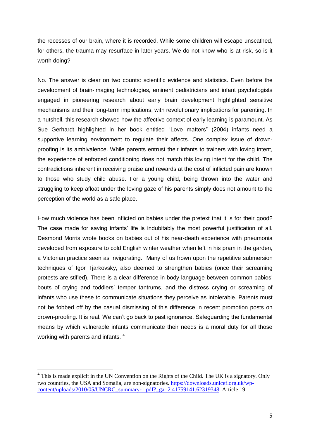the recesses of our brain, where it is recorded. While some children will escape unscathed, for others, the trauma may resurface in later years. We do not know who is at risk, so is it worth doing?

No. The answer is clear on two counts: scientific evidence and statistics. Even before the development of brain-imaging technologies, eminent pediatricians and infant psychologists engaged in pioneering research about early brain development highlighted sensitive mechanisms and their long-term implications, with revolutionary implications for parenting. In a nutshell, this research showed how the affective context of early learning is paramount. As Sue Gerhardt highlighted in her book entitled "Love matters" (2004) infants need a supportive learning environment to regulate their affects. One complex issue of drownproofing is its ambivalence. While parents entrust their infants to trainers with loving intent, the experience of enforced conditioning does not match this loving intent for the child. The contradictions inherent in receiving praise and rewards at the cost of inflicted pain are known to those who study child abuse. For a young child, being thrown into the water and struggling to keep afloat under the loving gaze of his parents simply does not amount to the perception of the world as a safe place.

How much violence has been inflicted on babies under the pretext that it is for their good? The case made for saving infants' life is indubitably the most powerful justification of all. Desmond Morris wrote books on babies out of his near-death experience with pneumonia developed from exposure to cold English winter weather when left in his pram in the garden, a Victorian practice seen as invigorating. Many of us frown upon the repetitive submersion techniques of Igor Tjarkovsky, also deemed to strengthen babies (once their screaming protests are stifled). There is a clear difference in body language between common babies' bouts of crying and toddlers' temper tantrums, and the distress crying or screaming of infants who use these to communicate situations they perceive as intolerable. Parents must not be fobbed off by the casual dismissing of this difference in recent promotion posts on drown-proofing. It is real. We can't go back to past ignorance. Safeguarding the fundamental means by which vulnerable infants communicate their needs is a moral duty for all those working with parents and infants.<sup>4</sup>

 $4$  This is made explicit in the UN Convention on the Rights of the Child. The UK is a signatory. Only two countries, the USA and Somalia, are non-signatories[. https://downloads.unicef.org.uk/wp](https://downloads.unicef.org.uk/wp-content/uploads/2010/05/UNCRC_summary-1.pdf?_ga=2.41759141.62319348)[content/uploads/2010/05/UNCRC\\_summary-1.pdf?\\_ga=2.41759141.62319348.](https://downloads.unicef.org.uk/wp-content/uploads/2010/05/UNCRC_summary-1.pdf?_ga=2.41759141.62319348) Article 19.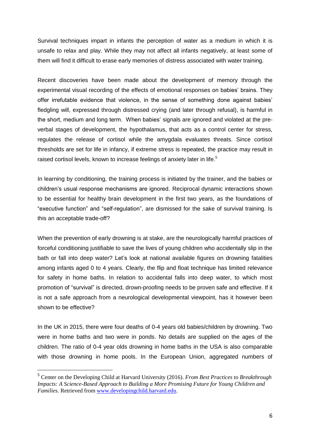Survival techniques impart in infants the perception of water as a medium in which it is unsafe to relax and play. While they may not affect all infants negatively, at least some of them will find it difficult to erase early memories of distress associated with water training.

Recent discoveries have been made about the development of memory through the experimental visual recording of the effects of emotional responses on babies' brains. They offer irrefutable evidence that violence, in the sense of something done against babies' fledgling will, expressed through distressed crying (and later through refusal), is harmful in the short, medium and long term. When babies' signals are ignored and violated at the preverbal stages of development, the hypothalamus, that acts as a control center for stress, regulates the release of cortisol while the amygdala evaluates threats. Since cortisol thresholds are set for life in infancy, if extreme stress is repeated, the practice may result in raised cortisol levels, known to increase feelings of anxiety later in life.<sup>5</sup>

In learning by conditioning, the training process is initiated by the trainer, and the babies or children's usual response mechanisms are ignored. Reciprocal dynamic interactions shown to be essential for healthy brain development in the first two years, as the foundations of "executive function" and "self-regulation", are dismissed for the sake of survival training. Is this an acceptable trade-off?

When the prevention of early drowning is at stake, are the neurologically harmful practices of forceful conditioning justifiable to save the lives of young children who accidentally slip in the bath or fall into deep water? Let's look at national available figures on drowning fatalities among infants aged 0 to 4 years. Clearly, the flip and float technique has limited relevance for safety in home baths. In relation to accidental falls into deep water, to which most promotion of "survival" is directed, drown-proofing needs to be proven safe and effective. If it is not a safe approach from a neurological developmental viewpoint, has it however been shown to be effective?

In the UK in 2015, there were four deaths of 0-4 years old babies/children by drowning. Two were in home baths and two were in ponds. No details are supplied on the ages of the children. The ratio of 0-4 year olds drowning in home baths in the USA is also comparable with those drowning in home pools. In the European Union, aggregated numbers of

<sup>5</sup> Center on the Developing Child at Harvard University (2016). *From Best Practices to Breakthrough Impacts: A Science-Based Approach to Building a More Promising Future for Young Children and Families.* Retrieved fro[m www.developingchild.harvard.edu.](http://www.developingchild.harvard.edu/)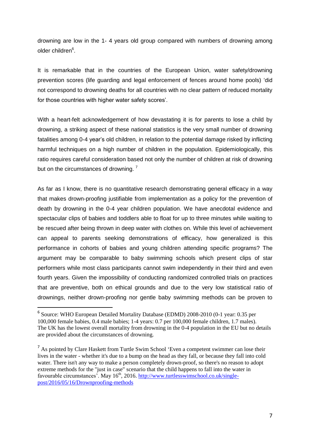drowning are low in the 1- 4 years old group compared with numbers of drowning among older children<sup>6</sup>.

It is remarkable that in the countries of the European Union, water safety/drowning prevention scores (life guarding and legal enforcement of fences around home pools) 'did not correspond to drowning deaths for all countries with no clear pattern of reduced mortality for those countries with higher water safety scores'.

With a heart-felt acknowledgement of how devastating it is for parents to lose a child by drowning, a striking aspect of these national statistics is the very small number of drowning fatalities among 0-4 year's old children, in relation to the potential damage risked by inflicting harmful techniques on a high number of children in the population. Epidemiologically, this ratio requires careful consideration based not only the number of children at risk of drowning but on the circumstances of drowning.<sup>7</sup>

As far as I know, there is no quantitative research demonstrating general efficacy in a way that makes drown-proofing justifiable from implementation as a policy for the prevention of death by drowning in the 0-4 year children population. We have anecdotal evidence and spectacular clips of babies and toddlers able to float for up to three minutes while waiting to be rescued after being thrown in deep water with clothes on. While this level of achievement can appeal to parents seeking demonstrations of efficacy, how generalized is this performance in cohorts of babies and young children attending specific programs? The argument may be comparable to baby swimming schools which present clips of star performers while most class participants cannot swim independently in their third and even fourth years. Given the impossibility of conducting randomized controlled trials on practices that are preventive, both on ethical grounds and due to the very low statistical ratio of drownings, neither drown-proofing nor gentle baby swimming methods can be proven to

<sup>6</sup> Source: WHO European Detailed Mortality Database (EDMD) 2008-2010 (0-1 year: 0.35 per 100,000 female babies, 0.4 male babies; 1-4 years: 0.7 per 100,000 female children, 1.7 males). The UK has the lowest overall mortality from drowning in the 0-4 population in the EU but no details are provided about the circumstances of drowning.

<sup>&</sup>lt;sup>7</sup> As pointed by Clare Haskett from Turtle Swim School 'Even a competent swimmer can lose their lives in the water - whether it's due to a bump on the head as they fall, or because they fall into cold water. There isn't any way to make a person completely drown-proof, so there's no reason to adopt extreme methods for the "just in case" scenario that the child happens to fall into the water in favourable circumstances'. May  $16<sup>th</sup>$ , 2016. [http://www.turtlesswimschool.co.uk/single](http://www.turtlesswimschool.co.uk/single-post/2016/05/16/Drownproofing-methods)[post/2016/05/16/Drownproofing-methods](http://www.turtlesswimschool.co.uk/single-post/2016/05/16/Drownproofing-methods)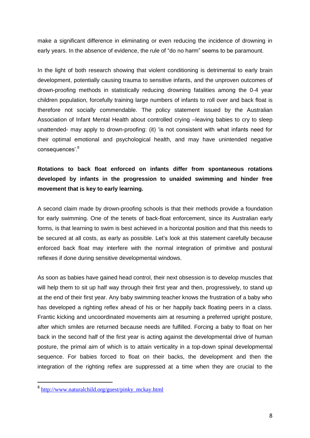make a significant difference in eliminating or even reducing the incidence of drowning in early years. In the absence of evidence, the rule of "do no harm" seems to be paramount.

In the light of both research showing that violent conditioning is detrimental to early brain development, potentially causing trauma to sensitive infants, and the unproven outcomes of drown-proofing methods in statistically reducing drowning fatalities among the 0-4 year children population, forcefully training large numbers of infants to roll over and back float is therefore not socially commendable. The policy statement issued by the Australian Association of Infant Mental Health about controlled crying –leaving babies to cry to sleep unattended- may apply to drown-proofing: (it) 'is not consistent with what infants need for their optimal emotional and psychological health, and may have unintended negative consequences'.<sup>8</sup>

### **Rotations to back float enforced on infants differ from spontaneous rotations developed by infants in the progression to unaided swimming and hinder free movement that is key to early learning.**

A second claim made by drown-proofing schools is that their methods provide a foundation for early swimming. One of the tenets of back-float enforcement, since its Australian early forms, is that learning to swim is best achieved in a horizontal position and that this needs to be secured at all costs, as early as possible. Let's look at this statement carefully because enforced back float may interfere with the normal integration of primitive and postural reflexes if done during sensitive developmental windows.

As soon as babies have gained head control, their next obsession is to develop muscles that will help them to sit up half way through their first year and then, progressively, to stand up at the end of their first year. Any baby swimming teacher knows the frustration of a baby who has developed a righting reflex ahead of his or her happily back floating peers in a class. Frantic kicking and uncoordinated movements aim at resuming a preferred upright posture, after which smiles are returned because needs are fulfilled. Forcing a baby to float on her back in the second half of the first year is acting against the developmental drive of human posture, the primal aim of which is to attain verticality in a top-down spinal developmental sequence. For babies forced to float on their backs, the development and then the integration of the righting reflex are suppressed at a time when they are crucial to the

<sup>&</sup>lt;sup>8</sup> [http://www.naturalchild.org/guest/pinky\\_mckay.html](http://www.naturalchild.org/guest/pinky_mckay.html)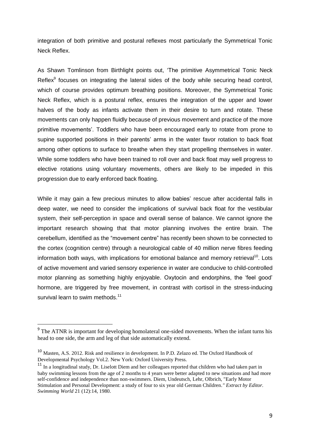integration of both primitive and postural reflexes most particularly the Symmetrical Tonic Neck Reflex.

As Shawn Tomlinson from Birthlight points out, 'The primitive Asymmetrical Tonic Neck Reflex<sup>9</sup> focuses on integrating the lateral sides of the body while securing head control, which of course provides optimum breathing positions. Moreover, the Symmetrical Tonic Neck Reflex, which is a postural reflex, ensures the integration of the upper and lower halves of the body as infants activate them in their desire to turn and rotate. These movements can only happen fluidly because of previous movement and practice of the more primitive movements'. Toddlers who have been encouraged early to rotate from prone to supine supported positions in their parents' arms in the water favor rotation to back float among other options to surface to breathe when they start propelling themselves in water. While some toddlers who have been trained to roll over and back float may well progress to elective rotations using voluntary movements, others are likely to be impeded in this progression due to early enforced back floating.

While it may gain a few precious minutes to allow babies' rescue after accidental falls in deep water, we need to consider the implications of survival back float for the vestibular system, their self-perception in space and overall sense of balance. We cannot ignore the important research showing that that motor planning involves the entire brain. The cerebellum, identified as the "movement centre" has recently been shown to be connected to the cortex (cognition centre) through a neurological cable of 40 million nerve fibres feeding information both ways, with implications for emotional balance and memory retrieval<sup>10</sup>. Lots of active movement and varied sensory experience in water are conducive to child-controlled motor planning as something highly enjoyable. Oxytocin and endorphins, the 'feel good' hormone, are triggered by free movement, in contrast with cortisol in the stress-inducing survival learn to swim methods.<sup>11</sup>

<sup>&</sup>lt;sup>9</sup> The ATNR is important for developing homolateral one-sided movements. When the infant turns his head to one side, the arm and leg of that side automatically extend.

<sup>10</sup> Masten, A.S. 2012. Risk and resilience in development. In P.D. Zelazo ed. The Oxford Handbook of Developmental Psychology Vol.2. New York: Oxford University Press.

<sup>&</sup>lt;sup>11</sup> In a longitudinal study, Dr. Liselott Diem and her colleagues reported that children who had taken part in baby swimming lessons from the age of 2 months to 4 years were better adapted to new situations and had more self-confidence and independence than non-swimmers. Diem, Undeutsch, Lehr, Olbrich, "Early Motor Stimulation and Personal Development: a study of four to six year old German Children*." Extract by Editor. Swimming World* 21 (12):14, 1980.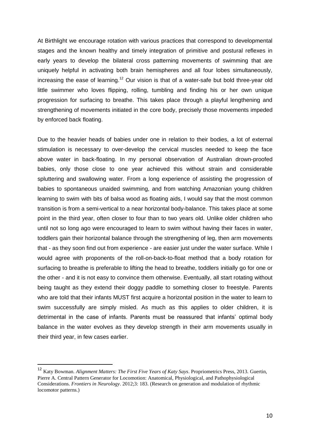At Birthlight we encourage rotation with various practices that correspond to developmental stages and the known healthy and timely integration of primitive and postural reflexes in early years to develop the bilateral cross patterning movements of swimming that are uniquely helpful in activating both brain hemispheres and all four lobes simultaneously, increasing the ease of learning.<sup>12</sup> Our vision is that of a water-safe but bold three-year old little swimmer who loves flipping, rolling, tumbling and finding his or her own unique progression for surfacing to breathe. This takes place through a playful lengthening and strengthening of movements initiated in the core body, precisely those movements impeded by enforced back floating.

Due to the heavier heads of babies under one in relation to their bodies, a lot of external stimulation is necessary to over-develop the cervical muscles needed to keep the face above water in back-floating. In my personal observation of Australian drown-proofed babies, only those close to one year achieved this without strain and considerable spluttering and swallowing water. From a long experience of assisting the progression of babies to spontaneous unaided swimming, and from watching Amazonian young children learning to swim with bits of balsa wood as floating aids, I would say that the most common transition is from a semi-vertical to a near horizontal body-balance. This takes place at some point in the third year, often closer to four than to two years old. Unlike older children who until not so long ago were encouraged to learn to swim without having their faces in water, toddlers gain their horizontal balance through the strengthening of leg, then arm movements that - as they soon find out from experience - are easier just under the water surface. While I would agree with proponents of the roll-on-back-to-float method that a body rotation for surfacing to breathe is preferable to lifting the head to breathe, toddlers initially go for one or the other - and it is not easy to convince them otherwise. Eventually, all start rotating without being taught as they extend their doggy paddle to something closer to freestyle. Parents who are told that their infants MUST first acquire a horizontal position in the water to learn to swim successfully are simply misled. As much as this applies to older children, it is detrimental in the case of infants. Parents must be reassured that infants' optimal body balance in the water evolves as they develop strength in their arm movements usually in their third year, in few cases earlier.

<sup>12</sup> Katy Bowman. *Alignment Matters: The First Five Years of Katy Says*. Propriometrics Press, 2013. Guertin, Pierre A. Central Pattern Generator for Locomotion: Anatomical, Physiological, and Pathophysiological Considerations. *Frontiers in Neurology*. 2012;3: 183. (Research on generation and modulation of rhythmic locomotor patterns.)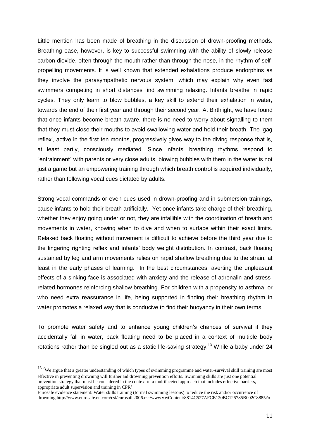Little mention has been made of breathing in the discussion of drown-proofing methods. Breathing ease, however, is key to successful swimming with the ability of slowly release carbon dioxide, often through the mouth rather than through the nose, in the rhythm of selfpropelling movements. It is well known that extended exhalations produce endorphins as they involve the parasympathetic nervous system, which may explain why even fast swimmers competing in short distances find swimming relaxing. Infants breathe in rapid cycles. They only learn to blow bubbles, a key skill to extend their exhalation in water, towards the end of their first year and through their second year. At Birthlight, we have found that once infants become breath-aware, there is no need to worry about signalling to them that they must close their mouths to avoid swallowing water and hold their breath. The 'gag reflex', active in the first ten months, progressively gives way to the diving response that is, at least partly, consciously mediated. Since infants' breathing rhythms respond to "entrainment" with parents or very close adults, blowing bubbles with them in the water is not just a game but an empowering training through which breath control is acquired individually, rather than following vocal cues dictated by adults.

Strong vocal commands or even cues used in drown-proofing and in submersion trainings, cause infants to hold their breath artificially. Yet once infants take charge of their breathing, whether they enjoy going under or not, they are infallible with the coordination of breath and movements in water, knowing when to dive and when to surface within their exact limits. Relaxed back floating without movement is difficult to achieve before the third year due to the lingering righting reflex and infants' body weight distribution. In contrast, back floating sustained by leg and arm movements relies on rapid shallow breathing due to the strain, at least in the early phases of learning. In the best circumstances, averting the unpleasant effects of a sinking face is associated with anxiety and the release of adrenalin and stressrelated hormones reinforcing shallow breathing. For children with a propensity to asthma, or who need extra reassurance in life, being supported in finding their breathing rhythm in water promotes a relaxed way that is conducive to find their buoyancy in their own terms.

To promote water safety and to enhance young children's chances of survival if they accidentally fall in water, back floating need to be placed in a context of multiple body rotations rather than be singled out as a static life-saving strategy.<sup>13</sup> While a baby under 24

<sup>&</sup>lt;sup>13</sup> 'We argue that a greater understanding of which types of swimming programme and water-survival skill training are most effective in preventing drowning will further aid drowning prevention efforts. Swimming skills are just one potential prevention strategy that must be considered in the context of a multifaceted approach that includes effective barriers, appropriate adult supervision and training in CPR'.

Eurosafe evidence statement: Water skills training (formal swimming lessons) to reduce the risk and/or occurrence of drowning.http://www.eurosafe.eu.com/csi/eurosafe2006.nsf/wwwVwContent/8814C527AFCE120BC125785B002C8885?o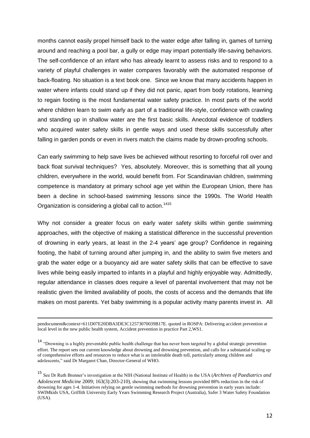months cannot easily propel himself back to the water edge after falling in, games of turning around and reaching a pool bar, a gully or edge may impart potentially life-saving behaviors. The self-confidence of an infant who has already learnt to assess risks and to respond to a variety of playful challenges in water compares favorably with the automated response of back-floating. No situation is a text book one. Since we know that many accidents happen in water where infants could stand up if they did not panic, apart from body rotations, learning to regain footing is the most fundamental water safety practice. In most parts of the world where children learn to swim early as part of a traditional life-style, confidence with crawling and standing up in shallow water are the first basic skills. Anecdotal evidence of toddlers who acquired water safety skills in gentle ways and used these skills successfully after falling in garden ponds or even in rivers match the claims made by drown-proofing schools.

Can early swimming to help save lives be achieved without resorting to forceful roll over and back float survival techniques? Yes, absolutely. Moreover, this is something that all young children, everywhere in the world, would benefit from. For Scandinavian children, swimming competence is mandatory at primary school age yet within the European Union, there has been a decline in school-based swimming lessons since the 1990s. The World Health Organization is considering a global call to action.<sup>1415</sup>

Why not consider a greater focus on early water safety skills within gentle swimming approaches, with the objective of making a statistical difference in the successful prevention of drowning in early years, at least in the 2-4 years' age group? Confidence in regaining footing, the habit of turning around after jumping in, and the ability to swim five meters and grab the water edge or a buoyancy aid are water safety skills that can be effective to save lives while being easily imparted to infants in a playful and highly enjoyable way. Admittedly, regular attendance in classes does require a level of parental involvement that may not be realistic given the limited availability of pools, the costs of access and the demands that life makes on most parents. Yet baby swimming is a popular activity many parents invest in. All

pendocument&context=611D07E20DBA3DE3C12573070039B17E. quoted in ROSPA: Delivering accident prevention at local level in the new public health system, Accident prevention in practice Part 2,WS1.

<sup>&</sup>lt;sup>14</sup> "Drowning is a highly preventable public health challenge that has never been targeted by a global strategic prevention effort. The report sets out current knowledge about drowning and drowning prevention, and calls for a substantial scaling up of comprehensive efforts and resources to reduce what is an intolerable death toll, particularly among children and adolescents," said Dr Margaret Chan, Director-General of WHO.

<sup>15</sup> See Dr Ruth Brenner's investigation at the NIH (National Institute of Health) in the USA (*Archives of Paediatrics and Adolescent Medicine* 2009; 163(3):203-210), showing that swimming lessons provided 88% reduction in the risk of drowning for ages 1-4. Initiatives relying on gentle swimming methods for drowning prevention in early years include: SWIMkids USA, Griffith University Early Years Swimming Research Project (Australia), Safer 3 Water Safety Foundation (USA).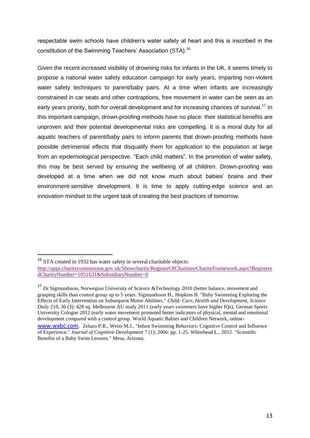respectable swim schools have children's water safety at heart and this is inscribed in the constitution of the Swimming Teachers' Association (STA).<sup>16</sup>

Given the recent increased visibility of drowning risks for infants in the UK, it seems timely to propose a national water safety education campaign for early years, imparting non-violent water safety techniques to parent/baby pairs. At a time when infants are increasingly constrained in car seats and other contraptions, free movement in water can be seen as an early years priority, both for overall development and for increasing chances of survival.<sup>17</sup> In this important campaign, drown-proofing methods have no place: their statistical benefits are unproven and their potential developmental risks are compelling. It is a moral duty for all aquatic teachers of parent/baby pairs to inform parents that drown-proofing methods have possible detrimental effects that disqualify them for application to the population at large from an epidemiological perspective. "Each child matters". In the promotion of water safety, this may be best served by ensuring the wellbeing of all children. Drown-proofing was developed at a time when we did not know much about babies' brains and their environment-sensitive development. It is time to apply cutting-edge science and an innovation mindset to the urgent task of creating the best practices of tomorrow.

<sup>&</sup>lt;sup>16</sup> STA created in 1932 has water safety in several charitable objects:

[http://apps.charitycommission.gov.uk/Showcharity/RegisterOfCharities/CharityFramework.aspx?Registere](http://apps.charitycommission.gov.uk/Showcharity/RegisterOfCharities/CharityFramework.aspx?RegisteredCharityNumber=1051631&SubsidiaryNumber=0) [dCharityNumber=1051631&SubsidiaryNumber=0](http://apps.charitycommission.gov.uk/Showcharity/RegisterOfCharities/CharityFramework.aspx?RegisteredCharityNumber=1051631&SubsidiaryNumber=0)

<sup>&</sup>lt;sup>17</sup> Dr Sigmundsson, Norwegian University of Science &Technology 2010 (better balance, movement and grasping skills than control group up to 5 years. Sigmundsson H., Hopkins B. "Baby Swimming Exploring the Effects of Early Intervention on Subsequent Motor Abilities." *Child: Care, Health and Development, Science Daily* 210, 36 (3): 428 sq. Melbourne AU study 2011 (early years swimmers have higher IOs). German Sports University Cologne 2012 (early water movement promoted better indicators of physical, mental and emotional development compared with a control group. World Aquatic Babies and Children Network, online-

[www.wabc.com.](http://www.wabc.com/) Zelazo P.R., Weiss M.J., "Infant Swimming Behaviors: Cognitive Control and Influence of Experience." *Journal of Cognitive Development* 7 (1); 2006: pp. 1-25. Whitehead L., 2012. "Scientific Benefits of a Baby Swim Lessons." Mesa, Arizona.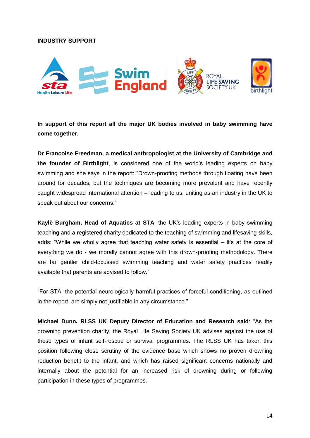#### **INDUSTRY SUPPORT**



**In support of this report all the major UK bodies involved in baby swimming have come together.**

**Dr Francoise Freedman, a medical anthropologist at the University of Cambridge and the founder of Birthlight**, is considered one of the world's leading experts on baby swimming and she says in the report: "Drown-proofing methods through floating have been around for decades, but the techniques are becoming more prevalent and have recently caught widespread international attention – leading to us, uniting as an industry in the UK to speak out about our concerns."

**Kaylë Burgham, Head of Aquatics at STA**, the UK's leading experts in baby swimming teaching and a registered charity dedicated to the teaching of swimming and lifesaving skills, adds: "While we wholly agree that teaching water safety is essential – it's at the core of everything we do - we morally cannot agree with this drown-proofing methodology. There are far gentler child-focussed swimming teaching and water safety practices readily available that parents are advised to follow."

"For STA, the potential neurologically harmful practices of forceful conditioning, as outlined in the report, are simply not justifiable in any circumstance."

**Michael Dunn, RLSS UK Deputy Director of Education and Research said**: "As the drowning prevention charity, the Royal Life Saving Society UK advises against the use of these types of infant self-rescue or survival programmes. The RLSS UK has taken this position following close scrutiny of the evidence base which shows no proven drowning reduction benefit to the infant, and which has raised significant concerns nationally and internally about the potential for an increased risk of drowning during or following participation in these types of programmes.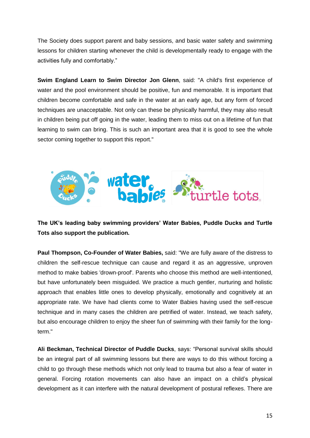The Society does support parent and baby sessions, and basic water safety and swimming lessons for children starting whenever the child is developmentally ready to engage with the activities fully and comfortably."

**Swim England Learn to Swim Director Jon Glenn**, said: "A child's first experience of water and the pool environment should be positive, fun and memorable. It is important that children become comfortable and safe in the water at an early age, but any form of forced techniques are unacceptable. Not only can these be physically harmful, they may also result in children being put off going in the water, leading them to miss out on a lifetime of fun that learning to swim can bring. This is such an important area that it is good to see the whole sector coming together to support this report."



**The UK's leading baby swimming providers' Water Babies, Puddle Ducks and Turtle Tots also support the publication.**

**Paul Thompson, Co-Founder of Water Babies,** said: "We are fully aware of the distress to children the self-rescue technique can cause and regard it as an aggressive, unproven method to make babies 'drown-proof'. Parents who choose this method are well-intentioned, but have unfortunately been misguided. We practice a much gentler, nurturing and holistic approach that enables little ones to develop physically, emotionally and cognitively at an appropriate rate. We have had clients come to Water Babies having used the self-rescue technique and in many cases the children are petrified of water. Instead, we teach safety, but also encourage children to enjoy the sheer fun of swimming with their family for the longterm."

**Ali Beckman, Technical Director of Puddle Ducks**, says: "Personal survival skills should be an integral part of all swimming lessons but there are ways to do this without forcing a child to go through these methods which not only lead to trauma but also a fear of water in general. Forcing rotation movements can also have an impact on a child's physical development as it can interfere with the natural development of postural reflexes. There are